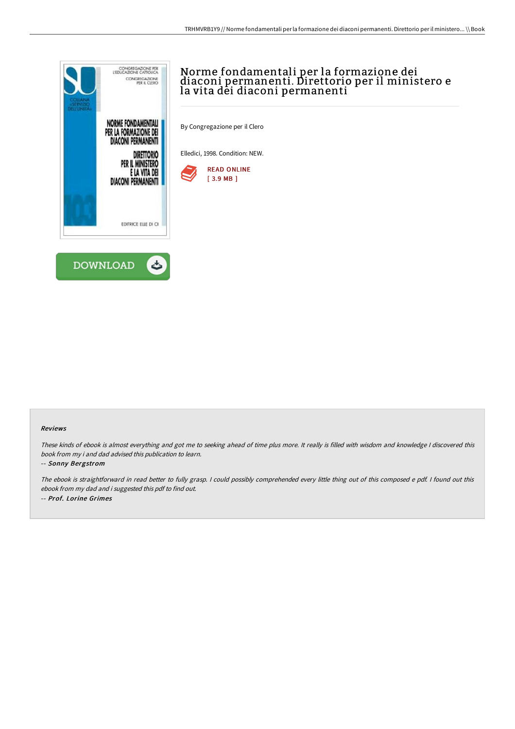

## Norme fondamentali per la formazione dei diaconi permanenti. Direttorio per il ministero e la vita dėi diaconi permanenti

By Congregazione per il Clero

Elledici, 1998. Condition: NEW.



#### Reviews

These kinds of ebook is almost everything and got me to seeking ahead of time plus more. It really is filled with wisdom and knowledge <sup>I</sup> discovered this book from my i and dad advised this publication to learn.

#### -- Sonny Bergstrom

The ebook is straightforward in read better to fully grasp. I could possibly comprehended every little thing out of this composed e pdf. I found out this ebook from my dad and i suggested this pdf to find out. -- Prof. Lorine Grimes